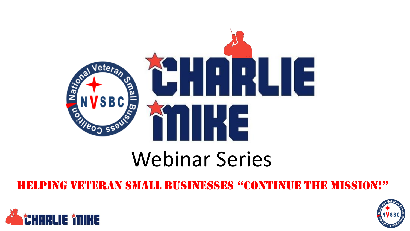

## Webinar Series

#### helping Veteran Small BuSineSSeS "continue the miSSion!"



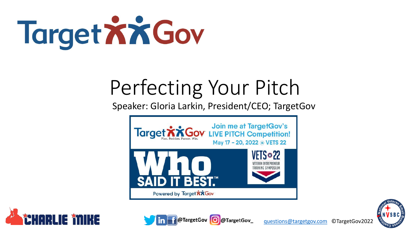

# Perfecting Your Pitch

Speaker: Gloria Larkin, President/CEO; TargetGov







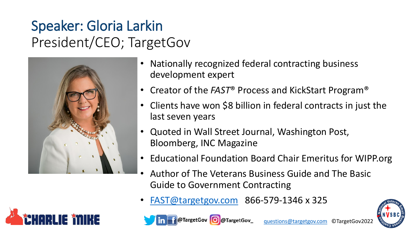#### Speaker: Gloria Larkin President/CEO; TargetGov



- Nationally recognized federal contracting business development expert
- Creator of the *FAST*® Process and KickStart Program®
- Clients have won \$8 billion in federal contracts in just the last seven years
- Quoted in Wall Street Journal, Washington Post, Bloomberg, INC Magazine
- Educational Foundation Board Chair Emeritus for WIPP.org
- Author of The Veterans Business Guide and The Basic Guide to Government Contracting
- [FAST@targetgov.com](mailto:Fast@targetgov.com) 866-579-1346 x 325







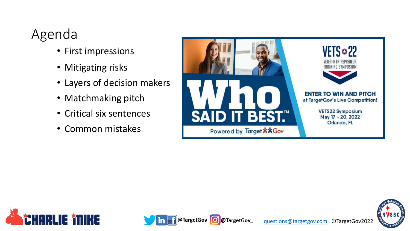#### Agenda

- First impressions
- Mitigating risks
- Layers of decision makers
- Matchmaking pitch
- Critical six sentences
- Common mistakes







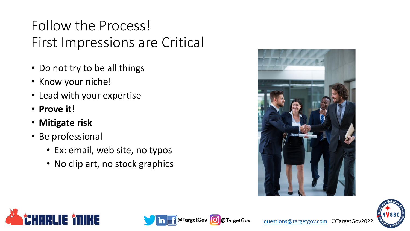#### Follow the Process! First Impressions are Critical

- Do not try to be all things
- Know your niche!
- Lead with your expertise
- **Prove it!**
- **Mitigate risk**
- Be professional
	- Ex: email, web site, no typos
	- No clip art, no stock graphics







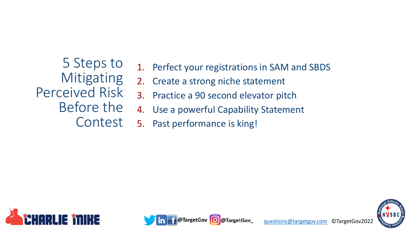5 Steps to **Mitigating** Perceived Risk Before the Contest

- 1. Perfect your registrations in SAM and SBDS
- 2. Create a strong niche statement
- 3. Practice a 90 second elevator pitch
- 4. Use a powerful Capability Statement
- 5. Past performance is king!





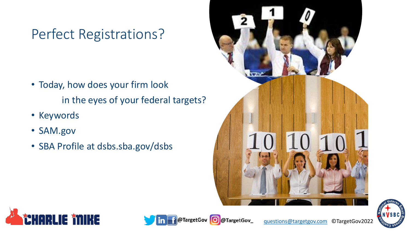#### Perfect Registrations?

- Today, how does your firm look in the eyes of your federal targets?
- Keywords
- SAM.gov
- SBA Profile at dsbs.sba.gov/dsbs









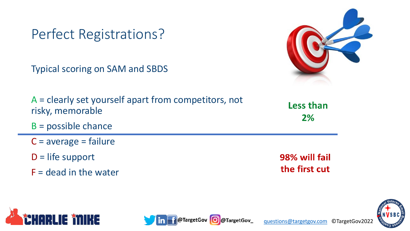Perfect Registrations?

Typical scoring on SAM and SBDS

A = clearly set yourself apart from competitors, not risky, memorable

- B = possible chance
- $C = average = failure$
- $D =$  life support
- $F =$  dead in the water



98% will fail the first cut







Less than

 $2%$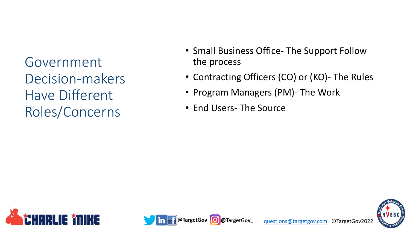Government Decision-makers Have Different Roles/Concerns

- Small Business Office The Support Follow the process
- Contracting Officers (CO) or (KO)- The Rules
- Program Managers (PM)- The Work
- End Users- The Source





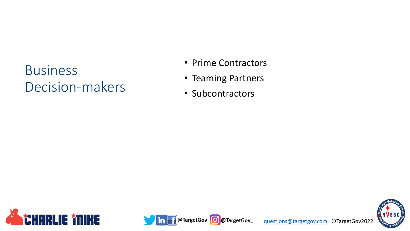#### **Business** Decision-makers

- Prime Contractors
- Teaming Partners
- Subcontractors





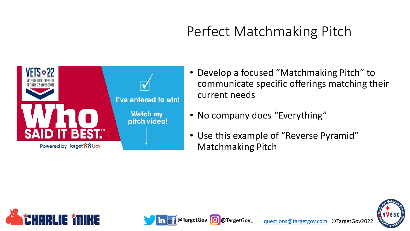### Perfect Matchmaking Pitch



- Develop a focused "Matchmaking Pitch" to communicate specific offerings matching their current needs
- No company does "Everything"

**argetGov** 

• Use this example of "Reverse Pyramid" Matchmaking Pitch



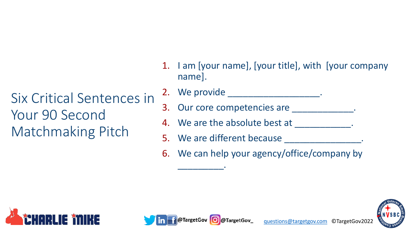Six Critical Sentences in Your 90 Second Matchmaking Pitch

- 1. I am [your name], [your title], with [your company name].
- 2. We provide \_\_\_\_\_\_\_\_\_\_\_\_\_\_\_\_\_\_.
- 3. Our core competencies are \_\_\_\_\_\_\_\_\_
- 4. We are the absolute best at  $\qquad \qquad$ .
- 5. We are different because
- 6. We can help your agency/office/company by





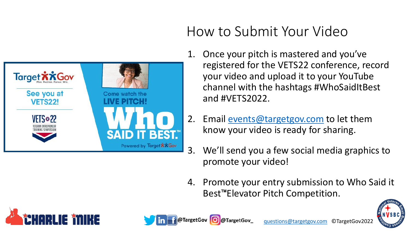

#### How to Submit Your Video

- 1. Once your pitch is mastered and you've registered for the VETS22 conference, record your video and upload it to your YouTube channel with the hashtags #WhoSaidItBest and #VETS2022.
- 2. Email [events@targetgov.com](mailto:events@targetgov.com) to let them know your video is ready for sharing.
- 3. We'll send you a few social media graphics to promote your video!
- 4. Promote your entry submission to Who Said it Best™Elevator Pitch Competition.







@TargetGov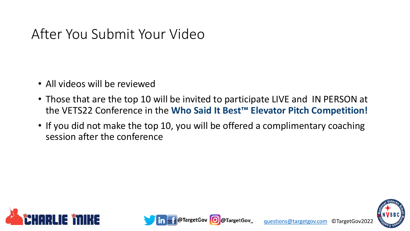#### After You Submit Your Video

- All videos will be reviewed
- Those that are the top 10 will be invited to participate LIVE and IN PERSON at the VETS22 Conference in the **Who Said It Best™ Elevator Pitch Competition!**
- If you did not make the top 10, you will be offered a complimentary coaching session after the conference





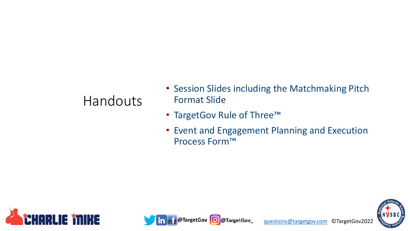#### Handouts

- Session Slides including the Matchmaking Pitch Format Slide
- TargetGov Rule of Three™
- Event and Engagement Planning and Execution Process Form™